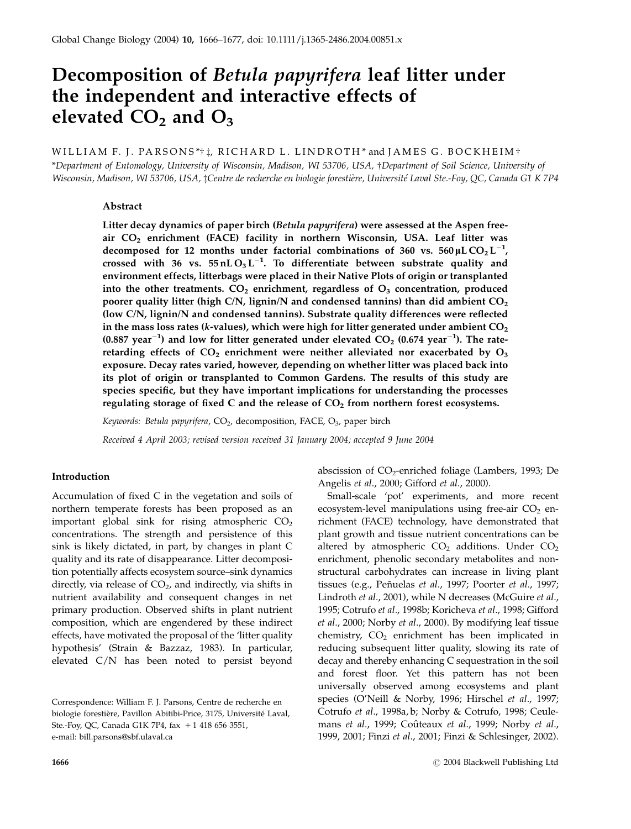# Decomposition of Betula papyrifera leaf litter under the independent and interactive effects of elevated  $CO<sub>2</sub>$  and  $O<sub>3</sub>$

# WILLIAM F. J. PARSONS\*†‡, RICHARD L. LINDROTH\* and JAMES G. BOCKHEIM† \*Department of Entomology, University of Wisconsin, Madison, WI 53706, USA, †Department of Soil Science, University of Wisconsin, Madison, WI 53706, USA, ‡Centre de recherche en biologie forestière, Université Laval Ste.-Foy, QC, Canada G1 K 7P4

### Abstract

Litter decay dynamics of paper birch (Betula papyrifera) were assessed at the Aspen freeair CO<sub>2</sub> enrichment (FACE) facility in northern Wisconsin, USA. Leaf litter was decomposed for 12 months under factorial combinations of 360 vs.  $560 \mu L \, \text{CO}_2 \, \text{L}^{-1}$ , crossed with 36 vs.  $55 \text{nLO}_3 L^{-1}$ . To differentiate between substrate quality and environment effects, litterbags were placed in their Native Plots of origin or transplanted into the other treatments.  $CO<sub>2</sub>$  enrichment, regardless of  $O<sub>3</sub>$  concentration, produced poorer quality litter (high C/N, lignin/N and condensed tannins) than did ambient  $CO<sub>2</sub>$ (low C/N, lignin/N and condensed tannins). Substrate quality differences were reflected in the mass loss rates (k-values), which were high for litter generated under ambient  $CO<sub>2</sub>$ (0.887 year<sup>-1</sup>) and low for litter generated under elevated  $CO_2$  (0.674 year<sup>-1</sup>). The rateretarding effects of  $CO<sub>2</sub>$  enrichment were neither alleviated nor exacerbated by  $O<sub>3</sub>$ exposure. Decay rates varied, however, depending on whether litter was placed back into its plot of origin or transplanted to Common Gardens. The results of this study are species specific, but they have important implications for understanding the processes regulating storage of fixed C and the release of  $CO<sub>2</sub>$  from northern forest ecosystems.

Keywords: Betula papyrifera, CO<sub>2</sub>, decomposition, FACE, O<sub>3</sub>, paper birch

Received 4 April 2003; revised version received 31 January 2004; accepted 9 June 2004

# Introduction

Accumulation of fixed C in the vegetation and soils of northern temperate forests has been proposed as an important global sink for rising atmospheric  $CO<sub>2</sub>$ concentrations. The strength and persistence of this sink is likely dictated, in part, by changes in plant C quality and its rate of disappearance. Litter decomposition potentially affects ecosystem source–sink dynamics directly, via release of  $CO<sub>2</sub>$ , and indirectly, via shifts in nutrient availability and consequent changes in net primary production. Observed shifts in plant nutrient composition, which are engendered by these indirect effects, have motivated the proposal of the 'litter quality hypothesis' (Strain & Bazzaz, 1983). In particular, elevated C/N has been noted to persist beyond

abscission of  $CO<sub>2</sub>$ -enriched foliage (Lambers, 1993; De Angelis et al., 2000; Gifford et al., 2000).

Small-scale 'pot' experiments, and more recent ecosystem-level manipulations using free-air  $CO<sub>2</sub>$  enrichment (FACE) technology, have demonstrated that plant growth and tissue nutrient concentrations can be altered by atmospheric  $CO<sub>2</sub>$  additions. Under  $CO<sub>2</sub>$ enrichment, phenolic secondary metabolites and nonstructural carbohydrates can increase in living plant tissues (e.g., Peñuelas et al., 1997; Poorter et al., 1997; Lindroth et al., 2001), while N decreases (McGuire et al., 1995; Cotrufo et al., 1998b; Koricheva et al., 1998; Gifford et al., 2000; Norby et al., 2000). By modifying leaf tissue chemistry,  $CO<sub>2</sub>$  enrichment has been implicated in reducing subsequent litter quality, slowing its rate of decay and thereby enhancing C sequestration in the soil and forest floor. Yet this pattern has not been universally observed among ecosystems and plant species (O'Neill & Norby, 1996; Hirschel et al., 1997; Cotrufo et al., 1998a, b; Norby & Cotrufo, 1998; Ceulemans et al., 1999; Coûteaux et al., 1999; Norby et al., 1999, 2001; Finzi et al., 2001; Finzi & Schlesinger, 2002).

Correspondence: William F. J. Parsons, Centre de recherche en biologie forestière, Pavillon Abitibi-Price, 3175, Université Laval, Ste.-Foy, QC, Canada G1K 7P4, fax + 1 418 656 3551, e-mail: bill.parsons@sbf.ulaval.ca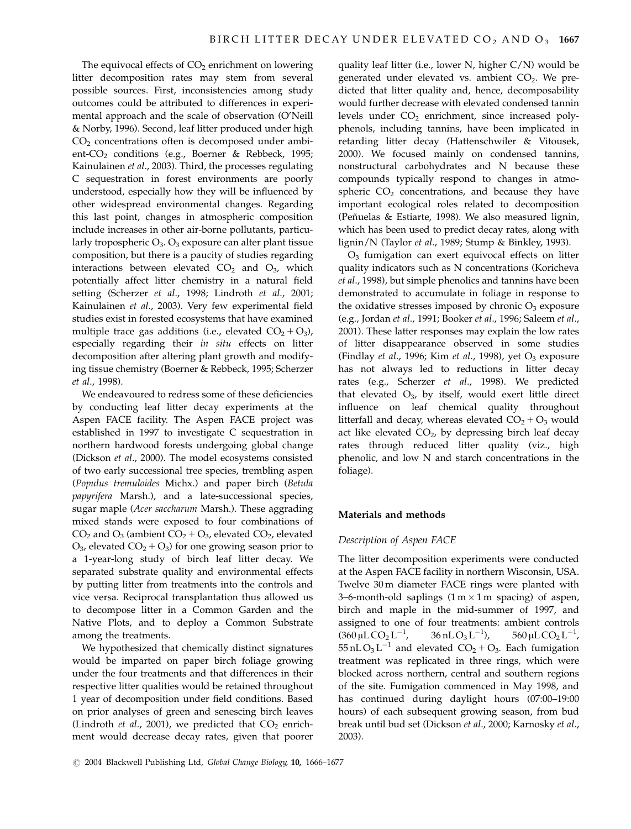The equivocal effects of  $CO<sub>2</sub>$  enrichment on lowering litter decomposition rates may stem from several possible sources. First, inconsistencies among study outcomes could be attributed to differences in experimental approach and the scale of observation (O'Neill & Norby, 1996). Second, leaf litter produced under high  $CO<sub>2</sub>$  concentrations often is decomposed under ambient-CO<sub>2</sub> conditions (e.g., Boerner & Rebbeck, 1995; Kainulainen et al., 2003). Third, the processes regulating C sequestration in forest environments are poorly understood, especially how they will be influenced by other widespread environmental changes. Regarding this last point, changes in atmospheric composition include increases in other air-borne pollutants, particularly tropospheric  $O_3$ .  $O_3$  exposure can alter plant tissue composition, but there is a paucity of studies regarding interactions between elevated  $CO<sub>2</sub>$  and  $O<sub>3</sub>$ , which potentially affect litter chemistry in a natural field setting (Scherzer et al., 1998; Lindroth et al., 2001; Kainulainen et al., 2003). Very few experimental field studies exist in forested ecosystems that have examined multiple trace gas additions (i.e., elevated  $CO<sub>2</sub> + O<sub>3</sub>$ ), especially regarding their in situ effects on litter decomposition after altering plant growth and modifying tissue chemistry (Boerner & Rebbeck, 1995; Scherzer et al., 1998).

We endeavoured to redress some of these deficiencies by conducting leaf litter decay experiments at the Aspen FACE facility. The Aspen FACE project was established in 1997 to investigate C sequestration in northern hardwood forests undergoing global change (Dickson et al., 2000). The model ecosystems consisted of two early successional tree species, trembling aspen (Populus tremuloides Michx.) and paper birch (Betula papyrifera Marsh.), and a late-successional species, sugar maple (Acer saccharum Marsh.). These aggrading mixed stands were exposed to four combinations of  $CO<sub>2</sub>$  and  $O<sub>3</sub>$  (ambient  $CO<sub>2</sub> + O<sub>3</sub>$ , elevated  $CO<sub>2</sub>$ , elevated  $O_3$ , elevated  $CO_2 + O_3$ ) for one growing season prior to a 1-year-long study of birch leaf litter decay. We separated substrate quality and environmental effects by putting litter from treatments into the controls and vice versa. Reciprocal transplantation thus allowed us to decompose litter in a Common Garden and the Native Plots, and to deploy a Common Substrate among the treatments.

We hypothesized that chemically distinct signatures would be imparted on paper birch foliage growing under the four treatments and that differences in their respective litter qualities would be retained throughout 1 year of decomposition under field conditions. Based on prior analyses of green and senescing birch leaves (Lindroth et al., 2001), we predicted that  $CO<sub>2</sub>$  enrichment would decrease decay rates, given that poorer quality leaf litter (i.e., lower N, higher  $C/N$ ) would be generated under elevated vs. ambient  $CO<sub>2</sub>$ . We predicted that litter quality and, hence, decomposability would further decrease with elevated condensed tannin levels under  $CO<sub>2</sub>$  enrichment, since increased polyphenols, including tannins, have been implicated in retarding litter decay (Hattenschwiler & Vitousek, 2000). We focused mainly on condensed tannins, nonstructural carbohydrates and N because these compounds typically respond to changes in atmospheric  $CO<sub>2</sub>$  concentrations, and because they have important ecological roles related to decomposition (Peñuelas & Estiarte, 1998). We also measured lignin, which has been used to predict decay rates, along with lignin/N (Taylor et al., 1989; Stump & Binkley, 1993).

 $O<sub>3</sub>$  fumigation can exert equivocal effects on litter quality indicators such as N concentrations (Koricheva et al., 1998), but simple phenolics and tannins have been demonstrated to accumulate in foliage in response to the oxidative stresses imposed by chronic  $O_3$  exposure (e.g., Jordan et al., 1991; Booker et al., 1996; Saleem et al., 2001). These latter responses may explain the low rates of litter disappearance observed in some studies (Findlay et al., 1996; Kim et al., 1998), yet  $O_3$  exposure has not always led to reductions in litter decay rates (e.g., Scherzer et al., 1998). We predicted that elevated  $O<sub>3</sub>$ , by itself, would exert little direct influence on leaf chemical quality throughout litterfall and decay, whereas elevated  $CO<sub>2</sub> + O<sub>3</sub>$  would act like elevated  $CO<sub>2</sub>$ , by depressing birch leaf decay rates through reduced litter quality (viz., high phenolic, and low N and starch concentrations in the foliage).

# Materials and methods

# Description of Aspen FACE

The litter decomposition experiments were conducted at the Aspen FACE facility in northern Wisconsin, USA. Twelve 30 m diameter FACE rings were planted with 3–6-month-old saplings  $(1\,\text{m}\times1\,\text{m}$  spacing) of aspen, birch and maple in the mid-summer of 1997, and assigned to one of four treatments: ambient controls  $(360 \,\mu L \, CO_2 L^{-1})$ ,  $36$  nL O<sub>3</sub> L<sup>-1</sup>), ),  $560 \,\mu L \, \text{CO}_2 \,\text{L}^{-1}$ , 55 nL O<sub>3</sub> L<sup>-1</sup> and elevated CO<sub>2</sub> + O<sub>3</sub>. Each fumigation treatment was replicated in three rings, which were blocked across northern, central and southern regions of the site. Fumigation commenced in May 1998, and has continued during daylight hours (07:00–19:00 hours) of each subsequent growing season, from bud break until bud set (Dickson et al., 2000; Karnosky et al., 2003).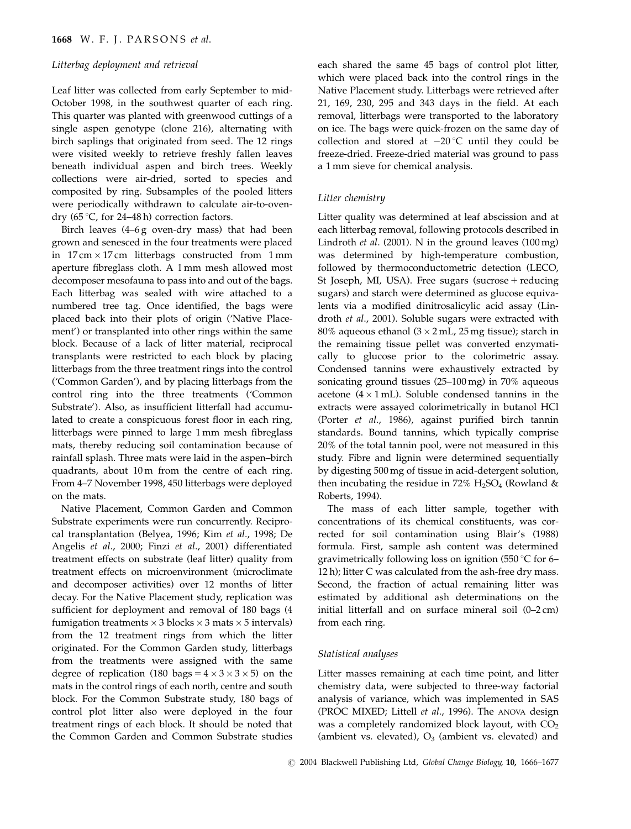# Litterbag deployment and retrieval

Leaf litter was collected from early September to mid-October 1998, in the southwest quarter of each ring. This quarter was planted with greenwood cuttings of a single aspen genotype (clone 216), alternating with birch saplings that originated from seed. The 12 rings were visited weekly to retrieve freshly fallen leaves beneath individual aspen and birch trees. Weekly collections were air-dried, sorted to species and composited by ring. Subsamples of the pooled litters were periodically withdrawn to calculate air-to-ovendry  $(65 \degree C,$  for 24–48 h) correction factors.

Birch leaves (4–6 g oven-dry mass) that had been grown and senesced in the four treatments were placed in  $17 \text{ cm} \times 17 \text{ cm}$  litterbags constructed from  $1 \text{ mm}$ aperture fibreglass cloth. A 1 mm mesh allowed most decomposer mesofauna to pass into and out of the bags. Each litterbag was sealed with wire attached to a numbered tree tag. Once identified, the bags were placed back into their plots of origin ('Native Placement') or transplanted into other rings within the same block. Because of a lack of litter material, reciprocal transplants were restricted to each block by placing litterbags from the three treatment rings into the control ('Common Garden'), and by placing litterbags from the control ring into the three treatments ('Common Substrate'). Also, as insufficient litterfall had accumulated to create a conspicuous forest floor in each ring, litterbags were pinned to large 1 mm mesh fibreglass mats, thereby reducing soil contamination because of rainfall splash. Three mats were laid in the aspen–birch quadrants, about 10 m from the centre of each ring. From 4–7 November 1998, 450 litterbags were deployed on the mats.

Native Placement, Common Garden and Common Substrate experiments were run concurrently. Reciprocal transplantation (Belyea, 1996; Kim et al., 1998; De Angelis et al., 2000; Finzi et al., 2001) differentiated treatment effects on substrate (leaf litter) quality from treatment effects on microenvironment (microclimate and decomposer activities) over 12 months of litter decay. For the Native Placement study, replication was sufficient for deployment and removal of 180 bags (4 fumigation treatments  $\times$  3 blocks  $\times$  3 mats  $\times$  5 intervals) from the 12 treatment rings from which the litter originated. For the Common Garden study, litterbags from the treatments were assigned with the same degree of replication (180 bags =  $4 \times 3 \times 3 \times 5$ ) on the mats in the control rings of each north, centre and south block. For the Common Substrate study, 180 bags of control plot litter also were deployed in the four treatment rings of each block. It should be noted that the Common Garden and Common Substrate studies each shared the same 45 bags of control plot litter, which were placed back into the control rings in the Native Placement study. Litterbags were retrieved after 21, 169, 230, 295 and 343 days in the field. At each removal, litterbags were transported to the laboratory on ice. The bags were quick-frozen on the same day of collection and stored at  $-20$  °C until they could be freeze-dried. Freeze-dried material was ground to pass a 1 mm sieve for chemical analysis.

# Litter chemistry

Litter quality was determined at leaf abscission and at each litterbag removal, following protocols described in Lindroth et al. (2001). N in the ground leaves (100 mg) was determined by high-temperature combustion, followed by thermoconductometric detection (LECO, St Joseph, MI, USA). Free sugars (sucrose  $+$  reducing sugars) and starch were determined as glucose equivalents via a modified dinitrosalicylic acid assay (Lindroth et al., 2001). Soluble sugars were extracted with  $80\%$  aqueous ethanol (3  $\times$  2 mL, 25 mg tissue); starch in the remaining tissue pellet was converted enzymatically to glucose prior to the colorimetric assay. Condensed tannins were exhaustively extracted by sonicating ground tissues (25–100 mg) in 70% aqueous acetone  $(4 \times 1$  mL). Soluble condensed tannins in the extracts were assayed colorimetrically in butanol HCl (Porter et al., 1986), against purified birch tannin standards. Bound tannins, which typically comprise 20% of the total tannin pool, were not measured in this study. Fibre and lignin were determined sequentially by digesting 500 mg of tissue in acid-detergent solution, then incubating the residue in 72%  $H_2SO_4$  (Rowland & Roberts, 1994).

The mass of each litter sample, together with concentrations of its chemical constituents, was corrected for soil contamination using Blair's (1988) formula. First, sample ash content was determined gravimetrically following loss on ignition (550  $\degree$ C for 6– 12 h); litter C was calculated from the ash-free dry mass. Second, the fraction of actual remaining litter was estimated by additional ash determinations on the initial litterfall and on surface mineral soil (0–2 cm) from each ring.

# Statistical analyses

Litter masses remaining at each time point, and litter chemistry data, were subjected to three-way factorial analysis of variance, which was implemented in SAS (PROC MIXED; Littell et al., 1996). The ANOVA design was a completely randomized block layout, with  $CO<sub>2</sub>$ (ambient vs. elevated),  $O_3$  (ambient vs. elevated) and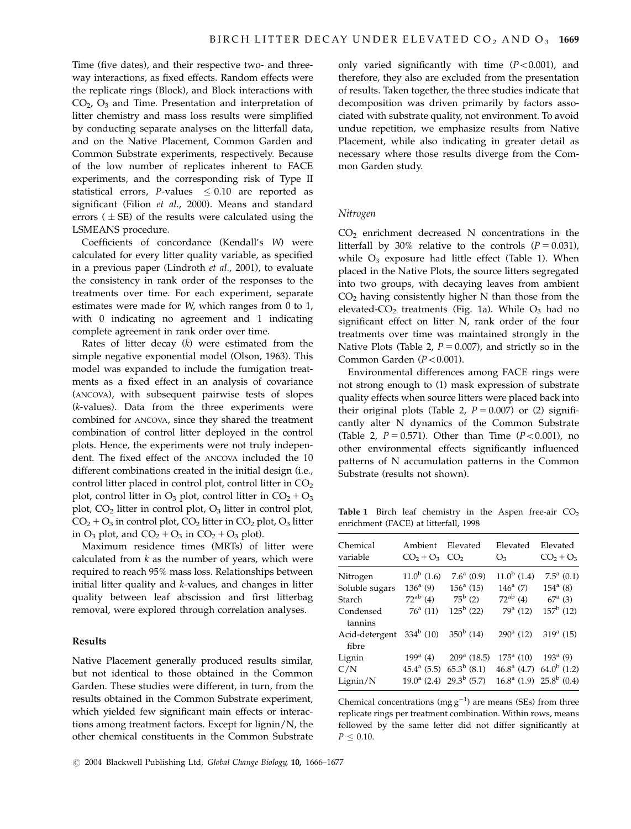Time (five dates), and their respective two- and threeway interactions, as fixed effects. Random effects were the replicate rings (Block), and Block interactions with  $CO<sub>2</sub>$ ,  $O<sub>3</sub>$  and Time. Presentation and interpretation of litter chemistry and mass loss results were simplified by conducting separate analyses on the litterfall data, and on the Native Placement, Common Garden and Common Substrate experiments, respectively. Because of the low number of replicates inherent to FACE experiments, and the corresponding risk of Type II statistical errors,  $P$ -values  $\leq 0.10$  are reported as significant (Filion et al., 2000). Means and standard errors ( $\pm$  SE) of the results were calculated using the LSMEANS procedure.

Coefficients of concordance (Kendall's W) were calculated for every litter quality variable, as specified in a previous paper (Lindroth et al., 2001), to evaluate the consistency in rank order of the responses to the treatments over time. For each experiment, separate estimates were made for W, which ranges from 0 to 1, with 0 indicating no agreement and 1 indicating complete agreement in rank order over time.

Rates of litter decay (k) were estimated from the simple negative exponential model (Olson, 1963). This model was expanded to include the fumigation treatments as a fixed effect in an analysis of covariance (ANCOVA), with subsequent pairwise tests of slopes (k-values). Data from the three experiments were combined for ANCOVA, since they shared the treatment combination of control litter deployed in the control plots. Hence, the experiments were not truly independent. The fixed effect of the ANCOVA included the 10 different combinations created in the initial design (i.e., control litter placed in control plot, control litter in  $CO<sub>2</sub>$ plot, control litter in  $O_3$  plot, control litter in  $CO_2 + O_3$ plot, CO<sub>2</sub> litter in control plot, O<sub>3</sub> litter in control plot,  $CO<sub>2</sub> + O<sub>3</sub>$  in control plot,  $CO<sub>2</sub>$  litter in  $CO<sub>2</sub>$  plot,  $O<sub>3</sub>$  litter in  $O_3$  plot, and  $CO_2 + O_3$  in  $CO_2 + O_3$  plot).

Maximum residence times (MRTs) of litter were calculated from  $k$  as the number of years, which were required to reach 95% mass loss. Relationships between initial litter quality and k-values, and changes in litter quality between leaf abscission and first litterbag removal, were explored through correlation analyses.

## Results

Native Placement generally produced results similar, but not identical to those obtained in the Common Garden. These studies were different, in turn, from the results obtained in the Common Substrate experiment, which yielded few significant main effects or interactions among treatment factors. Except for lignin/N, the other chemical constituents in the Common Substrate only varied significantly with time  $(P<0.001)$ , and therefore, they also are excluded from the presentation of results. Taken together, the three studies indicate that decomposition was driven primarily by factors associated with substrate quality, not environment. To avoid undue repetition, we emphasize results from Native Placement, while also indicating in greater detail as necessary where those results diverge from the Common Garden study.

#### Nitrogen

 $CO<sub>2</sub>$  enrichment decreased N concentrations in the litterfall by 30% relative to the controls  $(P = 0.031)$ , while  $O_3$  exposure had little effect (Table 1). When placed in the Native Plots, the source litters segregated into two groups, with decaying leaves from ambient  $CO<sub>2</sub>$  having consistently higher N than those from the elevated- $CO<sub>2</sub>$  treatments (Fig. 1a). While  $O<sub>3</sub>$  had no significant effect on litter N, rank order of the four treatments over time was maintained strongly in the Native Plots (Table 2,  $P = 0.007$ ), and strictly so in the Common Garden  $(P<0.001)$ .

Environmental differences among FACE rings were not strong enough to (1) mask expression of substrate quality effects when source litters were placed back into their original plots (Table 2,  $P = 0.007$ ) or (2) significantly alter N dynamics of the Common Substrate (Table 2,  $P = 0.571$ ). Other than Time ( $P < 0.001$ ), no other environmental effects significantly influenced patterns of N accumulation patterns in the Common Substrate (results not shown).

Table 1 Birch leaf chemistry in the Aspen free-air  $CO<sub>2</sub>$ enrichment (FACE) at litterfall, 1998

| Chemical<br>variable    | Ambient<br>$CO2 + O3$ | Elevated<br>CO <sub>2</sub>   | Elevated<br>O <sub>3</sub> | Elevated<br>$CO2 + O3$                          |
|-------------------------|-----------------------|-------------------------------|----------------------------|-------------------------------------------------|
| Nitrogen                | $11.0^b$ (1.6)        | $7.6^a$ (0.9)                 | $11.0^b$ (1.4)             | $7.5^a$ (0.1)                                   |
| Soluble sugars          | $136^{\rm a}$ (9)     | $156^a$ (15)                  | $146^a$ (7)                | $154^a$ (8)                                     |
| Starch                  | $72^{ab}$ (4)         | $75^{\rm b}$ (2)              | $72^{ab}$ (4)              | $67^{\rm a}$ (3)                                |
| Condensed<br>tannins    | $76^a$ (11)           | $125^{\rm b}$ (22)            | $79^a$ (12)                | $157^{\rm b}$ (12)                              |
| Acid-detergent<br>fibre | $334^b$ (10)          | $350^b$ (14)                  | $290^a$ (12)               | $319^a$ (15)                                    |
| Lignin                  | $199^{\rm a}$ (4)     | $209^{\rm a}$ (18.5)          | $175^{\rm a}$ (10)         | $193^a$ (9)                                     |
| C/N                     | $45.4^{\rm a}$ (5.5)  | $65.3^b$ (8.1)                |                            | 46.8 <sup>a</sup> (4.7) 64.0 <sup>b</sup> (1.2) |
| Lignin/N                |                       | $19.0^a$ (2.4) $29.3^b$ (5.7) |                            | $16.8^{\rm a}$ (1.9) $25.8^{\rm b}$ (0.4)       |

Chemical concentrations (mg  $g^{-1}$ ) are means (SEs) from three replicate rings per treatment combination. Within rows, means followed by the same letter did not differ significantly at  $P < 0.10$ .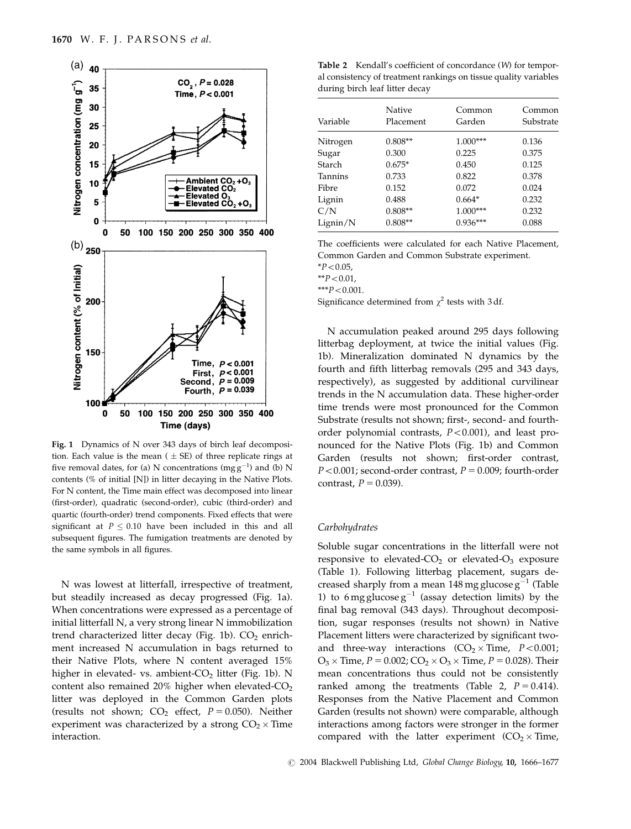

Fig. 1 Dynamics of N over 343 days of birch leaf decomposition. Each value is the mean ( $\pm$  SE) of three replicate rings at five removal dates, for (a) N concentrations (mg  $g^{-1}$ ) and (b) N contents (% of initial [N]) in litter decaying in the Native Plots. For N content, the Time main effect was decomposed into linear (first-order), quadratic (second-order), cubic (third-order) and quartic (fourth-order) trend components. Fixed effects that were significant at  $P \leq 0.10$  have been included in this and all subsequent figures. The fumigation treatments are denoted by the same symbols in all figures.

N was lowest at litterfall, irrespective of treatment, but steadily increased as decay progressed (Fig. 1a). When concentrations were expressed as a percentage of initial litterfall N, a very strong linear N immobilization trend characterized litter decay (Fig. 1b).  $CO<sub>2</sub>$  enrichment increased N accumulation in bags returned to their Native Plots, where N content averaged 15% higher in elevated- vs. ambient- $CO<sub>2</sub>$  litter (Fig. 1b). N content also remained 20% higher when elevated-CO<sub>2</sub> litter was deployed in the Common Garden plots (results not shown;  $CO<sub>2</sub>$  effect,  $P = 0.050$ ). Neither experiment was characterized by a strong  $CO_2 \times$  Time interaction.

Table 2 Kendall's coefficient of concordance (W) for temporal consistency of treatment rankings on tissue quality variables during birch leaf litter decay

| Variable       | Native<br>Placement | Common<br>Garden | Common<br>Substrate |
|----------------|---------------------|------------------|---------------------|
| Nitrogen       | $0.808**$           | $1.000***$       | 0.136               |
| Sugar          | 0.300               | 0.225            | 0.375               |
| Starch         | $0.675*$            | 0.450            | 0.125               |
| <b>Tannins</b> | 0.733               | 0.822            | 0.378               |
| Fibre          | 0.152               | 0.072            | 0.024               |
| Lignin         | 0.488               | $0.664*$         | 0.232               |
| C/N            | $0.808**$           | $1.000***$       | 0.232               |
| Lignin/N       | $0.808**$           | $0.936***$       | 0.088               |

The coefficients were calculated for each Native Placement, Common Garden and Common Substrate experiment.  $*P<0.05$ ,

 $*$  $P < 0.01$ ,

 $***P<0.001$ .

Significance determined from  $\chi^2$  tests with 3 df.

N accumulation peaked around 295 days following litterbag deployment, at twice the initial values (Fig. 1b). Mineralization dominated N dynamics by the fourth and fifth litterbag removals (295 and 343 days, respectively), as suggested by additional curvilinear trends in the N accumulation data. These higher-order time trends were most pronounced for the Common Substrate (results not shown; first-, second- and fourthorder polynomial contrasts,  $P < 0.001$ ), and least pronounced for the Native Plots (Fig. 1b) and Common Garden (results not shown; first-order contrast,  $P < 0.001$ ; second-order contrast,  $P = 0.009$ ; fourth-order contrast,  $P = 0.039$ .

## **Carbohydrates**

Soluble sugar concentrations in the litterfall were not responsive to elevated- $CO<sub>2</sub>$  or elevated- $O<sub>3</sub>$  exposure (Table 1). Following litterbag placement, sugars decreased sharply from a mean 148 mg glucose  $g^{-1}$  (Table 1) to 6 mg glucose  $g^{-1}$  (assay detection limits) by the final bag removal (343 days). Throughout decomposition, sugar responses (results not shown) in Native Placement litters were characterized by significant twoand three-way interactions  $(CO_2 \times Time, P < 0.001;$  $O_3 \times$  Time,  $P = 0.002$ ;  $CO_2 \times O_3 \times$  Time,  $P = 0.028$ ). Their mean concentrations thus could not be consistently ranked among the treatments (Table 2,  $P = 0.414$ ). Responses from the Native Placement and Common Garden (results not shown) were comparable, although interactions among factors were stronger in the former compared with the latter experiment  $(CO_2 \times Time)$ ,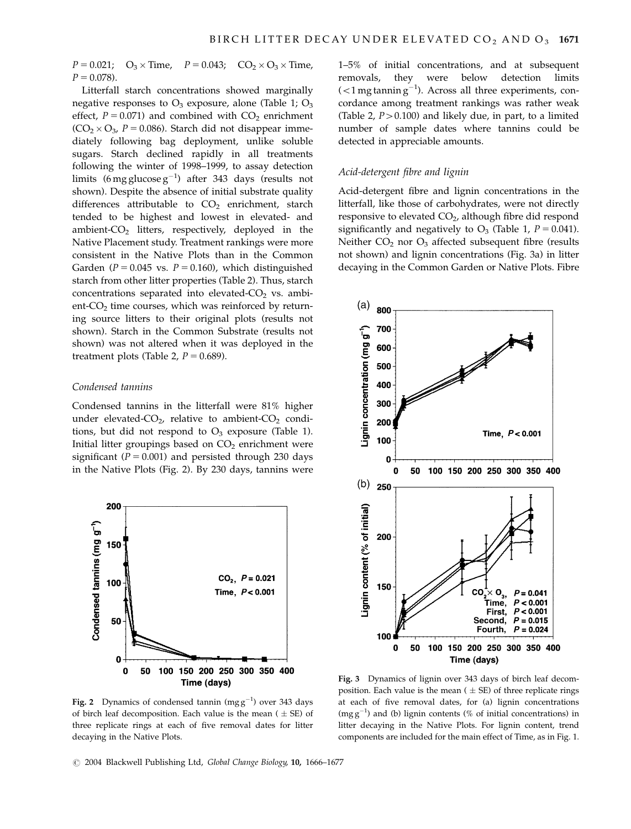$P = 0.021$ ;  $\times$  Time,  $P = 0.043$ ;  $CO_2 \times O_3 \times$  Time,  $P = 0.078$ .

Litterfall starch concentrations showed marginally negative responses to  $O_3$  exposure, alone (Table 1;  $O_3$ ) effect,  $P = 0.071$ ) and combined with  $CO<sub>2</sub>$  enrichment  $(CO_2 \times O_3$ ,  $P = 0.086$ ). Starch did not disappear immediately following bag deployment, unlike soluble sugars. Starch declined rapidly in all treatments following the winter of 1998–1999, to assay detection limits (6 mg glucose  $g^{-1}$ ) after 343 days (results not shown). Despite the absence of initial substrate quality differences attributable to  $CO<sub>2</sub>$  enrichment, starch tended to be highest and lowest in elevated- and ambient- $CO<sub>2</sub>$  litters, respectively, deployed in the Native Placement study. Treatment rankings were more consistent in the Native Plots than in the Common Garden ( $P = 0.045$  vs.  $P = 0.160$ ), which distinguished starch from other litter properties (Table 2). Thus, starch concentrations separated into elevated- $CO<sub>2</sub>$  vs. ambient- $CO<sub>2</sub>$  time courses, which was reinforced by returning source litters to their original plots (results not shown). Starch in the Common Substrate (results not shown) was not altered when it was deployed in the treatment plots (Table 2,  $P = 0.689$ ).

## Condensed tannins

Condensed tannins in the litterfall were 81% higher under elevated- $CO<sub>2</sub>$ , relative to ambient- $CO<sub>2</sub>$  conditions, but did not respond to  $O_3$  exposure (Table 1). Initial litter groupings based on  $CO<sub>2</sub>$  enrichment were significant ( $P = 0.001$ ) and persisted through 230 days in the Native Plots (Fig. 2). By 230 days, tannins were



**Fig. 2** Dynamics of condensed tannin (mg  $g^{-1}$ ) over 343 days of birch leaf decomposition. Each value is the mean ( $\pm$  SE) of three replicate rings at each of five removal dates for litter decaying in the Native Plots.

1–5% of initial concentrations, and at subsequent removals, they were below detection limits  $(<$ 1 mg tannin g $^{-1}$ ). Across all three experiments, concordance among treatment rankings was rather weak (Table 2,  $P > 0.100$ ) and likely due, in part, to a limited number of sample dates where tannins could be detected in appreciable amounts.

#### Acid-detergent fibre and lignin

Acid-detergent fibre and lignin concentrations in the litterfall, like those of carbohydrates, were not directly responsive to elevated CO<sub>2</sub>, although fibre did respond significantly and negatively to  $O_3$  (Table 1,  $P = 0.041$ ). Neither  $CO<sub>2</sub>$  nor  $O<sub>3</sub>$  affected subsequent fibre (results not shown) and lignin concentrations (Fig. 3a) in litter decaying in the Common Garden or Native Plots. Fibre



Fig. 3 Dynamics of lignin over 343 days of birch leaf decomposition. Each value is the mean ( $\pm$  SE) of three replicate rings at each of five removal dates, for (a) lignin concentrations  $(mgg^{-1})$  and (b) lignin contents (% of initial concentrations) in litter decaying in the Native Plots. For lignin content, trend components are included for the main effect of Time, as in Fig. 1.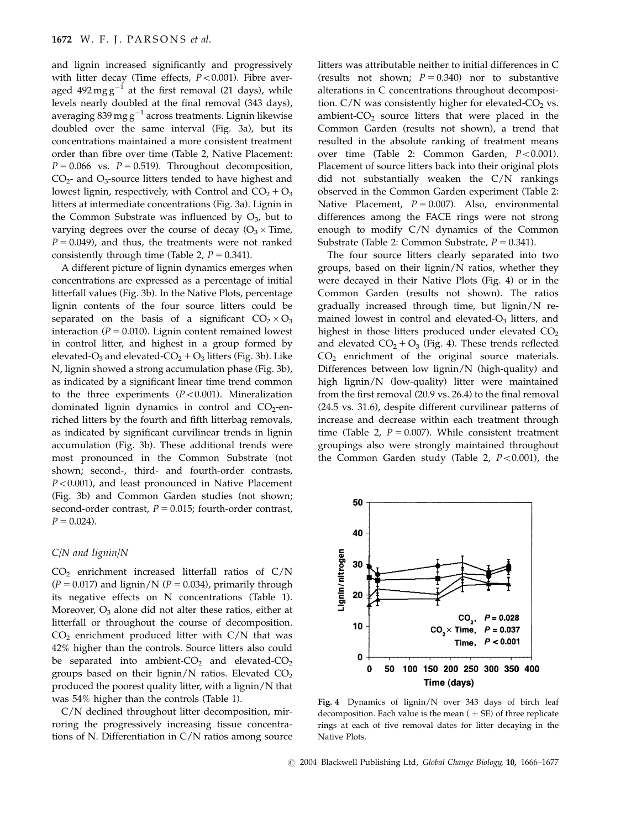and lignin increased significantly and progressively with litter decay (Time effects,  $P < 0.001$ ). Fibre averaged  $492 \text{ mg g}^{-1}$  at the first removal (21 days), while levels nearly doubled at the final removal (343 days), averaging 839 mg  $g^{-1}$  across treatments. Lignin likewise doubled over the same interval (Fig. 3a), but its concentrations maintained a more consistent treatment order than fibre over time (Table 2, Native Placement:  $P = 0.066$  vs.  $P = 0.519$ . Throughout decomposition,  $CO<sub>2</sub>$ - and  $O<sub>3</sub>$ -source litters tended to have highest and lowest lignin, respectively, with Control and  $CO<sub>2</sub> + O<sub>3</sub>$ litters at intermediate concentrations (Fig. 3a). Lignin in the Common Substrate was influenced by  $O<sub>3</sub>$ , but to varying degrees over the course of decay ( $O_3 \times$  Time,  $P = 0.049$ ), and thus, the treatments were not ranked consistently through time (Table 2,  $P = 0.341$ ).

A different picture of lignin dynamics emerges when concentrations are expressed as a percentage of initial litterfall values (Fig. 3b). In the Native Plots, percentage lignin contents of the four source litters could be separated on the basis of a significant  $CO_2 \times O_3$ interaction ( $P = 0.010$ ). Lignin content remained lowest in control litter, and highest in a group formed by elevated-O<sub>3</sub> and elevated-CO<sub>2</sub> + O<sub>3</sub> litters (Fig. 3b). Like N, lignin showed a strong accumulation phase (Fig. 3b), as indicated by a significant linear time trend common to the three experiments  $(P<0.001)$ . Mineralization dominated lignin dynamics in control and  $CO<sub>2</sub>$ -enriched litters by the fourth and fifth litterbag removals, as indicated by significant curvilinear trends in lignin accumulation (Fig. 3b). These additional trends were most pronounced in the Common Substrate (not shown; second-, third- and fourth-order contrasts,  $P < 0.001$ ), and least pronounced in Native Placement (Fig. 3b) and Common Garden studies (not shown; second-order contrast,  $P = 0.015$ ; fourth-order contrast,  $P = 0.024$ .

## C/N and lignin/N

 $CO<sub>2</sub>$  enrichment increased litterfall ratios of  $C/N$  $(P = 0.017)$  and lignin/N ( $P = 0.034$ ), primarily through its negative effects on N concentrations (Table 1). Moreover,  $O_3$  alone did not alter these ratios, either at litterfall or throughout the course of decomposition.  $CO<sub>2</sub>$  enrichment produced litter with  $C/N$  that was 42% higher than the controls. Source litters also could be separated into ambient- $CO<sub>2</sub>$  and elevated- $CO<sub>2</sub>$ groups based on their lignin/N ratios. Elevated  $CO<sub>2</sub>$ produced the poorest quality litter, with a lignin/N that was 54% higher than the controls (Table 1).

C/N declined throughout litter decomposition, mirroring the progressively increasing tissue concentrations of N. Differentiation in C/N ratios among source litters was attributable neither to initial differences in C (results not shown;  $P = 0.340$ ) nor to substantive alterations in C concentrations throughout decomposition.  $C/N$  was consistently higher for elevated- $CO<sub>2</sub>$  vs. ambient- $CO<sub>2</sub>$  source litters that were placed in the Common Garden (results not shown), a trend that resulted in the absolute ranking of treatment means over time (Table 2: Common Garden,  $P < 0.001$ ). Placement of source litters back into their original plots did not substantially weaken the C/N rankings observed in the Common Garden experiment (Table 2: Native Placement,  $P = 0.007$ ). Also, environmental differences among the FACE rings were not strong enough to modify C/N dynamics of the Common Substrate (Table 2: Common Substrate,  $P = 0.341$ ).

The four source litters clearly separated into two groups, based on their lignin/N ratios, whether they were decayed in their Native Plots (Fig. 4) or in the Common Garden (results not shown). The ratios gradually increased through time, but lignin/N remained lowest in control and elevated- $O<sub>3</sub>$  litters, and highest in those litters produced under elevated  $CO<sub>2</sub>$ and elevated  $CO<sub>2</sub> + O<sub>3</sub>$  (Fig. 4). These trends reflected CO2 enrichment of the original source materials. Differences between low lignin/N (high-quality) and high lignin/N (low-quality) litter were maintained from the first removal (20.9 vs. 26.4) to the final removal (24.5 vs. 31.6), despite different curvilinear patterns of increase and decrease within each treatment through time (Table 2,  $P = 0.007$ ). While consistent treatment groupings also were strongly maintained throughout the Common Garden study (Table 2,  $P < 0.001$ ), the



Fig. 4 Dynamics of lignin/N over 343 days of birch leaf decomposition. Each value is the mean ( $\pm$  SE) of three replicate rings at each of five removal dates for litter decaying in the Native Plots.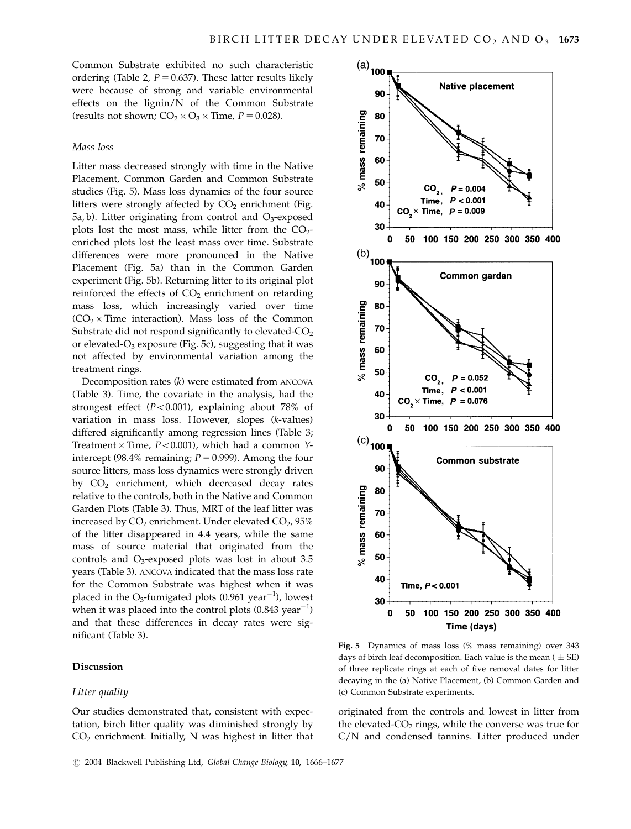Common Substrate exhibited no such characteristic ordering (Table 2,  $P = 0.637$ ). These latter results likely were because of strong and variable environmental effects on the lignin/N of the Common Substrate (results not shown;  $CO_2 \times O_3 \times$  Time,  $P = 0.028$ ).

# Mass loss

Litter mass decreased strongly with time in the Native Placement, Common Garden and Common Substrate studies (Fig. 5). Mass loss dynamics of the four source litters were strongly affected by  $CO<sub>2</sub>$  enrichment (Fig.  $5a$ , b). Litter originating from control and  $O_3$ -exposed plots lost the most mass, while litter from the  $CO<sub>2</sub>$ enriched plots lost the least mass over time. Substrate differences were more pronounced in the Native Placement (Fig. 5a) than in the Common Garden experiment (Fig. 5b). Returning litter to its original plot reinforced the effects of  $CO<sub>2</sub>$  enrichment on retarding mass loss, which increasingly varied over time  $(CO<sub>2</sub> \times Time interaction)$ . Mass loss of the Common Substrate did not respond significantly to elevated-CO<sub>2</sub> or elevated- $O_3$  exposure (Fig. 5c), suggesting that it was not affected by environmental variation among the treatment rings.

Decomposition rates (k) were estimated from ANCOVA (Table 3). Time, the covariate in the analysis, had the strongest effect  $(P<0.001)$ , explaining about 78% of variation in mass loss. However, slopes (k-values) differed significantly among regression lines (Table 3; Treatment  $\times$  Time,  $P$  < 0.001), which had a common Yintercept (98.4% remaining;  $P = 0.999$ ). Among the four source litters, mass loss dynamics were strongly driven by CO<sub>2</sub> enrichment, which decreased decay rates relative to the controls, both in the Native and Common Garden Plots (Table 3). Thus, MRT of the leaf litter was increased by  $CO_2$  enrichment. Under elevated  $CO_2$ , 95% of the litter disappeared in 4.4 years, while the same mass of source material that originated from the controls and  $O_3$ -exposed plots was lost in about 3.5 years (Table 3). ANCOVA indicated that the mass loss rate for the Common Substrate was highest when it was placed in the O<sub>3</sub>-fumigated plots (0.961 year<sup>-1</sup>), lowest when it was placed into the control plots  $(0.843 \text{ year}^{-1})$ and that these differences in decay rates were significant (Table 3).

# Discussion

#### Litter quality

Our studies demonstrated that, consistent with expectation, birch litter quality was diminished strongly by  $CO<sub>2</sub>$  enrichment. Initially, N was highest in litter that



Fig. 5 Dynamics of mass loss (% mass remaining) over 343 days of birch leaf decomposition. Each value is the mean ( $\pm$  SE) of three replicate rings at each of five removal dates for litter decaying in the (a) Native Placement, (b) Common Garden and (c) Common Substrate experiments.

originated from the controls and lowest in litter from the elevated- $CO<sub>2</sub>$  rings, while the converse was true for C/N and condensed tannins. Litter produced under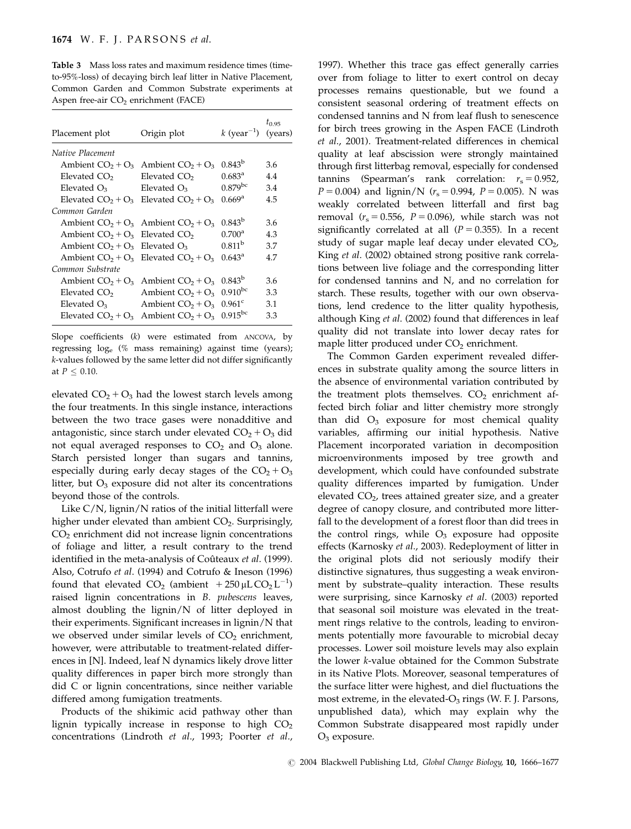Table 3 Mass loss rates and maximum residence times (timeto-95%-loss) of decaying birch leaf litter in Native Placement, Common Garden and Common Substrate experiments at Aspen free-air  $CO<sub>2</sub>$  enrichment (FACE)

| Placement plot                    | Origin plot                                 | k (year <sup>-1</sup> ) | $t_{0.95}$<br>(years) |
|-----------------------------------|---------------------------------------------|-------------------------|-----------------------|
| Native Placement                  |                                             |                         |                       |
|                                   | Ambient $CO2 + O3$ Ambient $CO2 + O3$       | $0.843^{b}$             | 3.6                   |
| Elevated CO <sub>2</sub>          | Elevated CO <sub>2</sub>                    | $0.683^{\rm a}$         | 4.4                   |
| Elevated $O_3$                    | Elevated $O_3$                              | $0.879$ <sup>bc</sup>   | 3.4                   |
|                                   | Elevated $CO_2 + O_3$ Elevated $CO_2 + O_3$ | 0.669 <sup>a</sup>      | 4.5                   |
| Common Garden                     |                                             |                         |                       |
|                                   | Ambient $CO_2 + O_3$ Ambient $CO_2 + O_3$   | $0.843^{b}$             | 3.6                   |
| Ambient $CO2 + O3$ Elevated $CO2$ |                                             | $0.700^4$               | 4.3                   |
| Ambient $CO2 + O3$ Elevated $O3$  |                                             | 0.811 <sup>b</sup>      | 3.7                   |
|                                   | Ambient $CO2 + O3$ Elevated $CO2 + O3$      | $0.643^{\rm a}$         | 4.7                   |
| Common Substrate                  |                                             |                         |                       |
| Ambient $CO2 + O3$                | Ambient $CO2 + O3$                          | $0.843^{p}$             | 3.6                   |
| Elevated CO <sub>2</sub>          | Ambient $CO2 + O3$                          | $0.910^{bc}$            | 3.3                   |
| Elevated $O_3$                    | Ambient $CO2 + O3$                          | $0.961^{\circ}$         | 3.1                   |
|                                   | Elevated $CO2 + O3$ Ambient $CO2 + O3$      | $0.915^{bc}$            | 3.3                   |

Slope coefficients (k) were estimated from ANCOVA, by regressing loge (% mass remaining) against time (years); k-values followed by the same letter did not differ significantly at  $P \leq 0.10$ .

elevated  $CO<sub>2</sub> + O<sub>3</sub>$  had the lowest starch levels among the four treatments. In this single instance, interactions between the two trace gases were nonadditive and antagonistic, since starch under elevated  $CO<sub>2</sub> + O<sub>3</sub>$  did not equal averaged responses to  $CO<sub>2</sub>$  and  $O<sub>3</sub>$  alone. Starch persisted longer than sugars and tannins, especially during early decay stages of the  $CO<sub>2</sub> + O<sub>3</sub>$ litter, but  $O_3$  exposure did not alter its concentrations beyond those of the controls.

Like C/N, lignin/N ratios of the initial litterfall were higher under elevated than ambient  $CO<sub>2</sub>$ . Surprisingly,  $CO<sub>2</sub>$  enrichment did not increase lignin concentrations of foliage and litter, a result contrary to the trend identified in the meta-analysis of Coûteaux et al. (1999). Also, Cotrufo et al. (1994) and Cotrufo & Ineson (1996) found that elevated  $CO_2$  (ambient  $+250 \mu$ L $CO_2$  L<sup>-1</sup>) raised lignin concentrations in B. pubescens leaves, almost doubling the lignin/N of litter deployed in their experiments. Significant increases in lignin/N that we observed under similar levels of  $CO<sub>2</sub>$  enrichment, however, were attributable to treatment-related differences in [N]. Indeed, leaf N dynamics likely drove litter quality differences in paper birch more strongly than did C or lignin concentrations, since neither variable differed among fumigation treatments.

Products of the shikimic acid pathway other than lignin typically increase in response to high  $CO<sub>2</sub>$ concentrations (Lindroth et al., 1993; Poorter et al.,

1997). Whether this trace gas effect generally carries over from foliage to litter to exert control on decay processes remains questionable, but we found a consistent seasonal ordering of treatment effects on condensed tannins and N from leaf flush to senescence for birch trees growing in the Aspen FACE (Lindroth et al., 2001). Treatment-related differences in chemical quality at leaf abscission were strongly maintained through first litterbag removal, especially for condensed tannins (Spearman's rank correlation:  $r_s = 0.952$ ,  $P = 0.004$ ) and lignin/N ( $r_s = 0.994$ ,  $P = 0.005$ ). N was weakly correlated between litterfall and first bag removal  $(r<sub>s</sub> = 0.556, P = 0.096)$ , while starch was not significantly correlated at all  $(P = 0.355)$ . In a recent study of sugar maple leaf decay under elevated  $CO<sub>2</sub>$ , King et al. (2002) obtained strong positive rank correlations between live foliage and the corresponding litter for condensed tannins and N, and no correlation for starch. These results, together with our own observations, lend credence to the litter quality hypothesis, although King et al. (2002) found that differences in leaf quality did not translate into lower decay rates for maple litter produced under  $CO<sub>2</sub>$  enrichment.

The Common Garden experiment revealed differences in substrate quality among the source litters in the absence of environmental variation contributed by the treatment plots themselves.  $CO<sub>2</sub>$  enrichment affected birch foliar and litter chemistry more strongly than did  $O_3$  exposure for most chemical quality variables, affirming our initial hypothesis. Native Placement incorporated variation in decomposition microenvironments imposed by tree growth and development, which could have confounded substrate quality differences imparted by fumigation. Under elevated CO2, trees attained greater size, and a greater degree of canopy closure, and contributed more litterfall to the development of a forest floor than did trees in the control rings, while  $O_3$  exposure had opposite effects (Karnosky et al., 2003). Redeployment of litter in the original plots did not seriously modify their distinctive signatures, thus suggesting a weak environment by substrate–quality interaction. These results were surprising, since Karnosky et al. (2003) reported that seasonal soil moisture was elevated in the treatment rings relative to the controls, leading to environments potentially more favourable to microbial decay processes. Lower soil moisture levels may also explain the lower k-value obtained for the Common Substrate in its Native Plots. Moreover, seasonal temperatures of the surface litter were highest, and diel fluctuations the most extreme, in the elevated- $O_3$  rings (W. F. J. Parsons, unpublished data), which may explain why the Common Substrate disappeared most rapidly under  $O_3$  exposure.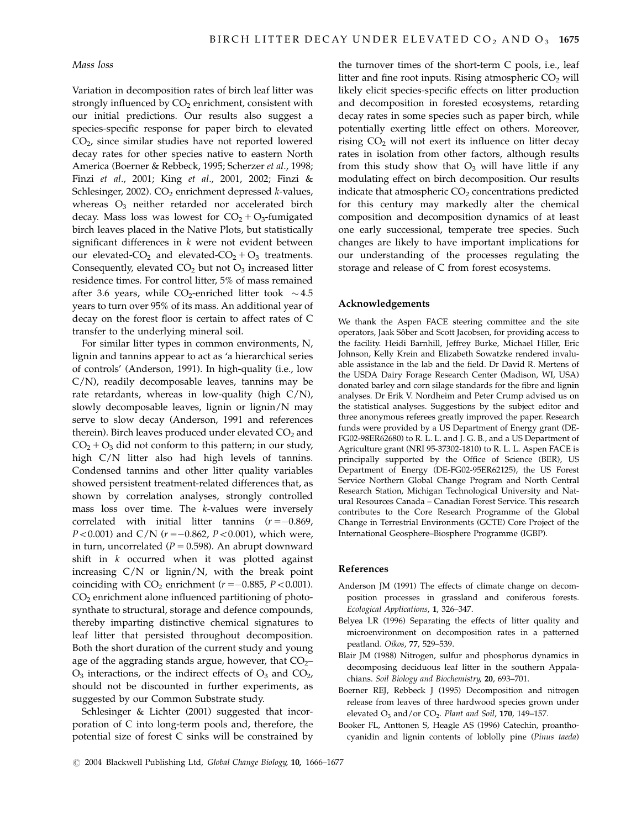### Mass loss

Variation in decomposition rates of birch leaf litter was strongly influenced by  $CO<sub>2</sub>$  enrichment, consistent with our initial predictions. Our results also suggest a species-specific response for paper birch to elevated CO2, since similar studies have not reported lowered decay rates for other species native to eastern North America (Boerner & Rebbeck, 1995; Scherzer et al., 1998; Finzi et al., 2001; King et al., 2001, 2002; Finzi & Schlesinger, 2002).  $CO<sub>2</sub>$  enrichment depressed k-values, whereas O<sub>3</sub> neither retarded nor accelerated birch decay. Mass loss was lowest for  $CO<sub>2</sub> + O<sub>3</sub>$ -fumigated birch leaves placed in the Native Plots, but statistically significant differences in  $k$  were not evident between our elevated-CO<sub>2</sub> and elevated-CO<sub>2</sub> + O<sub>3</sub> treatments. Consequently, elevated  $CO<sub>2</sub>$  but not  $O<sub>3</sub>$  increased litter residence times. For control litter, 5% of mass remained after 3.6 years, while CO<sub>2</sub>-enriched litter took  $\sim$  4.5 years to turn over 95% of its mass. An additional year of decay on the forest floor is certain to affect rates of C transfer to the underlying mineral soil.

For similar litter types in common environments, N, lignin and tannins appear to act as 'a hierarchical series of controls' (Anderson, 1991). In high-quality (i.e., low C/N), readily decomposable leaves, tannins may be rate retardants, whereas in low-quality (high  $C/N$ ), slowly decomposable leaves, lignin or lignin/N may serve to slow decay (Anderson, 1991 and references therein). Birch leaves produced under elevated  $CO<sub>2</sub>$  and  $CO<sub>2</sub> + O<sub>3</sub>$  did not conform to this pattern; in our study, high C/N litter also had high levels of tannins. Condensed tannins and other litter quality variables showed persistent treatment-related differences that, as shown by correlation analyses, strongly controlled mass loss over time. The k-values were inversely correlated with initial litter tannins  $(r = -0.869)$ ,  $P<0.001$ ) and C/N ( $r = -0.862$ ,  $P<0.001$ ), which were, in turn, uncorrelated ( $P = 0.598$ ). An abrupt downward shift in k occurred when it was plotted against increasing C/N or lignin/N, with the break point coinciding with  $CO<sub>2</sub>$  enrichment ( $r = -0.885$ ,  $P < 0.001$ ).  $CO<sub>2</sub>$  enrichment alone influenced partitioning of photosynthate to structural, storage and defence compounds, thereby imparting distinctive chemical signatures to leaf litter that persisted throughout decomposition. Both the short duration of the current study and young age of the aggrading stands argue, however, that  $CO<sub>2</sub>$  $O_3$  interactions, or the indirect effects of  $O_3$  and  $CO_2$ , should not be discounted in further experiments, as suggested by our Common Substrate study.

Schlesinger & Lichter (2001) suggested that incorporation of C into long-term pools and, therefore, the potential size of forest C sinks will be constrained by the turnover times of the short-term C pools, i.e., leaf litter and fine root inputs. Rising atmospheric  $CO<sub>2</sub>$  will likely elicit species-specific effects on litter production and decomposition in forested ecosystems, retarding decay rates in some species such as paper birch, while potentially exerting little effect on others. Moreover, rising  $CO<sub>2</sub>$  will not exert its influence on litter decay rates in isolation from other factors, although results from this study show that  $O_3$  will have little if any modulating effect on birch decomposition. Our results indicate that atmospheric  $CO<sub>2</sub>$  concentrations predicted for this century may markedly alter the chemical composition and decomposition dynamics of at least one early successional, temperate tree species. Such changes are likely to have important implications for our understanding of the processes regulating the storage and release of C from forest ecosystems.

#### Acknowledgements

We thank the Aspen FACE steering committee and the site operators, Jaak Sôber and Scott Jacobsen, for providing access to the facility. Heidi Barnhill, Jeffrey Burke, Michael Hiller, Eric Johnson, Kelly Krein and Elizabeth Sowatzke rendered invaluable assistance in the lab and the field. Dr David R. Mertens of the USDA Dairy Forage Research Center (Madison, WI, USA) donated barley and corn silage standards for the fibre and lignin analyses. Dr Erik V. Nordheim and Peter Crump advised us on the statistical analyses. Suggestions by the subject editor and three anonymous referees greatly improved the paper. Research funds were provided by a US Department of Energy grant (DE-FG02-98ER62680) to R. L. L. and J. G. B., and a US Department of Agriculture grant (NRI 95-37302-1810) to R. L. L. Aspen FACE is principally supported by the Office of Science (BER), US Department of Energy (DE-FG02-95ER62125), the US Forest Service Northern Global Change Program and North Central Research Station, Michigan Technological University and Natural Resources Canada – Canadian Forest Service. This research contributes to the Core Research Programme of the Global Change in Terrestrial Environments (GCTE) Core Project of the International Geosphere–Biosphere Programme (IGBP).

### References

- Anderson JM (1991) The effects of climate change on decomposition processes in grassland and coniferous forests. Ecological Applications, 1, 326–347.
- Belyea LR (1996) Separating the effects of litter quality and microenvironment on decomposition rates in a patterned peatland. Oikos, 77, 529–539.
- Blair JM (1988) Nitrogen, sulfur and phosphorus dynamics in decomposing deciduous leaf litter in the southern Appalachians. Soil Biology and Biochemistry, 20, 693–701.
- Boerner REJ, Rebbeck J (1995) Decomposition and nitrogen release from leaves of three hardwood species grown under elevated  $O_3$  and/or  $CO_2$ . Plant and Soil, 170, 149-157.
- Booker FL, Anttonen S, Heagle AS (1996) Catechin, proanthocyanidin and lignin contents of loblolly pine (Pinus taeda)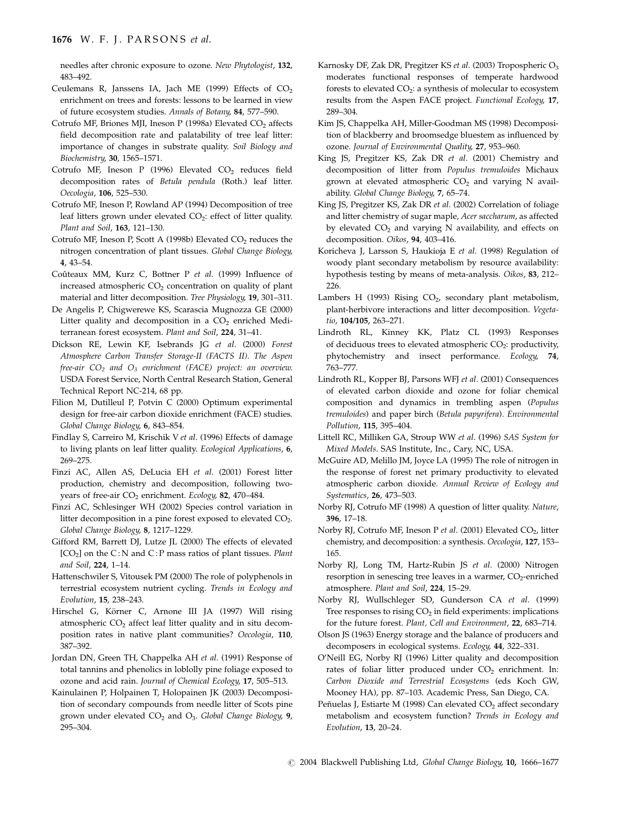needles after chronic exposure to ozone. New Phytologist, 132, 483–492.

- Ceulemans R, Janssens IA, Jach ME (1999) Effects of  $CO<sub>2</sub>$ enrichment on trees and forests: lessons to be learned in view of future ecosystem studies. Annals of Botany, 84, 577–590.
- Cotrufo MF, Briones MJI, Ineson P (1998a) Elevated CO<sub>2</sub> affects field decomposition rate and palatability of tree leaf litter: importance of changes in substrate quality. Soil Biology and Biochemistry, 30, 1565–1571.
- Cotrufo MF, Ineson P (1996) Elevated  $CO<sub>2</sub>$  reduces field decomposition rates of Betula pendula (Roth.) leaf litter. Oecologia, 106, 525–530.
- Cotrufo MF, Ineson P, Rowland AP (1994) Decomposition of tree leaf litters grown under elevated CO<sub>2</sub>: effect of litter quality. Plant and Soil, 163, 121–130.
- Cotrufo MF, Ineson P, Scott A (1998b) Elevated  $CO<sub>2</sub>$  reduces the nitrogen concentration of plant tissues. Global Change Biology, 4, 43–54.
- Coûteaux MM, Kurz C, Bottner P et al. (1999) Influence of increased atmospheric  $CO<sub>2</sub>$  concentration on quality of plant material and litter decomposition. Tree Physiology, 19, 301–311.
- De Angelis P, Chigwerewe KS, Scarascia Mugnozza GE (2000) Litter quality and decomposition in a  $CO<sub>2</sub>$  enriched Mediterranean forest ecosystem. Plant and Soil, 224, 31–41.
- Dickson RE, Lewin KF, Isebrands JG et al. (2000) Forest Atmosphere Carbon Transfer Storage-II (FACTS II). The Aspen free-air  $CO<sub>2</sub>$  and  $O<sub>3</sub>$  enrichment (FACE) project: an overview. USDA Forest Service, North Central Research Station, General Technical Report NC-214, 68 pp.
- Filion M, Dutilleul P, Potvin C (2000) Optimum experimental design for free-air carbon dioxide enrichment (FACE) studies. Global Change Biology, 6, 843–854.
- Findlay S, Carreiro M, Krischik V et al. (1996) Effects of damage to living plants on leaf litter quality. Ecological Applications, 6, 269–275.
- Finzi AC, Allen AS, DeLucia EH et al. (2001) Forest litter production, chemistry and decomposition, following twoyears of free-air CO<sub>2</sub> enrichment. Ecology, 82, 470-484.
- Finzi AC, Schlesinger WH (2002) Species control variation in litter decomposition in a pine forest exposed to elevated CO<sub>2</sub>. Global Change Biology, 8, 1217–1229.
- Gifford RM, Barrett DJ, Lutze JL (2000) The effects of elevated [CO<sub>2</sub>] on the C:N and C:P mass ratios of plant tissues. Plant and Soil, 224, 1–14.
- Hattenschwiler S, Vitousek PM (2000) The role of polyphenols in terrestrial ecosystem nutrient cycling. Trends in Ecology and Evolution, 15, 238–243.
- Hirschel G, Körner C, Arnone III JA (1997) Will rising atmospheric CO<sub>2</sub> affect leaf litter quality and in situ decomposition rates in native plant communities? Oecologia, 110, 387–392.
- Jordan DN, Green TH, Chappelka AH et al. (1991) Response of total tannins and phenolics in loblolly pine foliage exposed to ozone and acid rain. Journal of Chemical Ecology, 17, 505–513.
- Kainulainen P, Holpainen T, Holopainen JK (2003) Decomposition of secondary compounds from needle litter of Scots pine grown under elevated  $CO<sub>2</sub>$  and  $O<sub>3</sub>$ . Global Change Biology, 9, 295–304.
- Karnosky DF, Zak DR, Pregitzer KS et al. (2003) Tropospheric O3 moderates functional responses of temperate hardwood forests to elevated  $CO<sub>2</sub>$ : a synthesis of molecular to ecosystem results from the Aspen FACE project. Functional Ecology, 17, 289–304.
- Kim JS, Chappelka AH, Miller-Goodman MS (1998) Decomposition of blackberry and broomsedge bluestem as influenced by ozone. Journal of Environmental Quality, 27, 953–960.
- King JS, Pregitzer KS, Zak DR et al. (2001) Chemistry and decomposition of litter from Populus tremuloides Michaux grown at elevated atmospheric  $CO<sub>2</sub>$  and varying N availability. Global Change Biology, 7, 65–74.
- King JS, Pregitzer KS, Zak DR et al. (2002) Correlation of foliage and litter chemistry of sugar maple, Acer saccharum, as affected by elevated  $CO<sub>2</sub>$  and varying N availability, and effects on decomposition. Oikos, 94, 403–416.
- Koricheva J, Larsson S, Haukioja E et al. (1998) Regulation of woody plant secondary metabolism by resource availability: hypothesis testing by means of meta-analysis. Oikos, 83, 212– 226.
- Lambers H (1993) Rising  $CO<sub>2</sub>$ , secondary plant metabolism, plant-herbivore interactions and litter decomposition. Vegetatio, 104/105, 263–271.
- Lindroth RL, Kinney KK, Platz CL (1993) Responses of deciduous trees to elevated atmospheric  $CO<sub>2</sub>$ : productivity, phytochemistry and insect performance. Ecology, 74, 763–777.
- Lindroth RL, Kopper BJ, Parsons WFJ et al. (2001) Consequences of elevated carbon dioxide and ozone for foliar chemical composition and dynamics in trembling aspen (Populus tremuloides) and paper birch (Betula papyrifera). Environmental Pollution, 115, 395–404.
- Littell RC, Milliken GA, Stroup WW et al. (1996) SAS System for Mixed Models. SAS Institute, Inc., Cary, NC, USA.
- McGuire AD, Melillo JM, Joyce LA (1995) The role of nitrogen in the response of forest net primary productivity to elevated atmospheric carbon dioxide. Annual Review of Ecology and Systematics, 26, 473–503.
- Norby RJ, Cotrufo MF (1998) A question of litter quality. Nature, 396, 17–18.
- Norby RJ, Cotrufo MF, Ineson P et al. (2001) Elevated  $CO<sub>2</sub>$ , litter chemistry, and decomposition: a synthesis. Oecologia, 127, 153– 165.
- Norby RJ, Long TM, Hartz-Rubin JS et al. (2000) Nitrogen resorption in senescing tree leaves in a warmer,  $CO<sub>2</sub>$ -enriched atmosphere. Plant and Soil, 224, 15–29.
- Norby RJ, Wullschleger SD, Gunderson CA et al. (1999) Tree responses to rising  $CO<sub>2</sub>$  in field experiments: implications for the future forest. Plant, Cell and Environment, 22, 683–714.
- Olson JS (1963) Energy storage and the balance of producers and decomposers in ecological systems. Ecology, 44, 322–331.
- O'Neill EG, Norby RJ (1996) Litter quality and decomposition rates of foliar litter produced under CO<sub>2</sub> enrichment. In: Carbon Dioxide and Terrestrial Ecosystems (eds Koch GW, Mooney HA), pp. 87–103. Academic Press, San Diego, CA.
- Peñuelas J, Estiarte M (1998) Can elevated CO<sub>2</sub> affect secondary metabolism and ecosystem function? Trends in Ecology and Evolution, 13, 20–24.